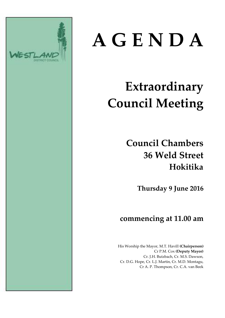

# **A G E N D A**

# **Extraordinary Council Meeting**

# **Council Chambers 36 Weld Street Hokitika**

**Thursday 9 June 2016**

### **commencing at 11.00 am**

His Worship the Mayor, M.T. Havill **(Chairperson)** Cr P.M. Cox **(Deputy Mayor)** Cr. J.H. Butzbach, Cr. M.S. Dawson, Cr. D.G. Hope, Cr. L.J. Martin, Cr. M.D. Montagu, Cr A. P. Thompson, Cr. C.A. van Beek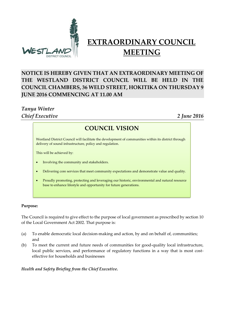

## **EXTRAORDINARY COUNCIL MEETING**

#### **NOTICE IS HEREBY GIVEN THAT AN EXTRAORDINARY MEETING OF THE WESTLAND DISTRICT COUNCIL WILL BE HELD IN THE COUNCIL CHAMBERS, 36 WELD STREET, HOKITIKA ON THURSDAY 9 JUNE 2016 COMMENCING AT 11.00 AM**

#### *Tanya Winter Chief Executive 2 June 2016*

#### **COUNCIL VISION**

**COUNCIL VISION** delivery of sound infrastructure, policy and regulation. Westland District Council will facilitate the development of communities within its district through

This will be achieved by:

- Involving the community and stakeholders.
- Delivering core services that meet community expectations and demonstrate value and quality.
- Proudly promoting, protecting and leveraging our historic, environmental and natural resource base to enhance lifestyle and opportunity for future generations.

#### **Purpose:**

The Council is required to give effect to the purpose of local government as prescribed by section 10 of the Local Government Act 2002. That purpose is:

- (a) To enable democratic local decision-making and action, by and on behalf of, communities; and
- (b) To meet the current and future needs of communities for good-quality local infrastructure, local public services, and performance of regulatory functions in a way that is most costeffective for households and businesses

*Health and Safety Briefing from the Chief Executive.*